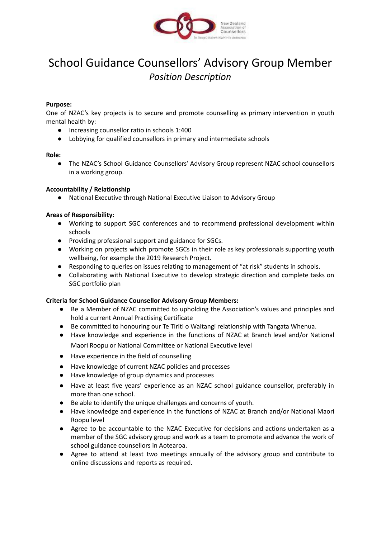

# School Guidance Counsellors' Advisory Group Member *Position Description*

## **Purpose:**

One of NZAC's key projects is to secure and promote counselling as primary intervention in youth mental health by:

- Increasing counsellor ratio in schools 1:400
- Lobbying for qualified counsellors in primary and intermediate schools

### **Role:**

● The NZAC's School Guidance Counsellors' Advisory Group represent NZAC school counsellors in a working group.

### **Accountability / Relationship**

● National Executive through National Executive Liaison to Advisory Group

### **Areas of Responsibility:**

- Working to support SGC conferences and to recommend professional development within schools
- Providing professional support and guidance for SGCs.
- Working on projects which promote SGCs in their role as key professionals supporting youth wellbeing, for example the 2019 Research Project.
- Responding to queries on issues relating to management of "at risk" students in schools.
- Collaborating with National Executive to develop strategic direction and complete tasks on SGC portfolio plan

### **Criteria for School Guidance Counsellor Advisory Group Members:**

- **●** Be a Member of NZAC committed to upholding the Association's values and principles and hold a current Annual Practising Certificate
- Be committed to honouring our Te Tiriti o Waitangi relationship with Tangata Whenua.
- Have knowledge and experience in the functions of NZAC at Branch level and/or National Maori Roopu or National Committee or National Executive level
- Have experience in the field of counselling
- Have knowledge of current NZAC policies and processes
- Have knowledge of group dynamics and processes
- Have at least five years' experience as an NZAC school guidance counsellor, preferably in more than one school.
- Be able to identify the unique challenges and concerns of youth.
- Have knowledge and experience in the functions of NZAC at Branch and/or National Maori Roopu level
- Agree to be accountable to the NZAC Executive for decisions and actions undertaken as a member of the SGC advisory group and work as a team to promote and advance the work of school guidance counsellors in Aotearoa.
- Agree to attend at least two meetings annually of the advisory group and contribute to online discussions and reports as required.